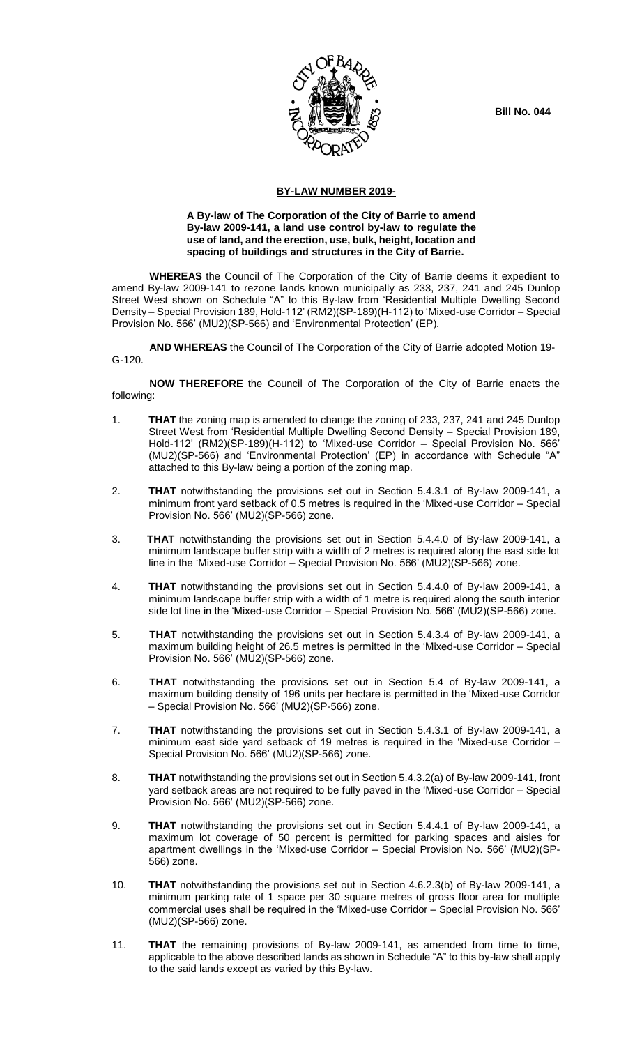**Bill No. 044**



## **BY-LAW NUMBER 2019-**

## **A By-law of The Corporation of the City of Barrie to amend By-law 2009-141, a land use control by-law to regulate the use of land, and the erection, use, bulk, height, location and spacing of buildings and structures in the City of Barrie.**

**WHEREAS** the Council of The Corporation of the City of Barrie deems it expedient to amend By-law 2009-141 to rezone lands known municipally as 233, 237, 241 and 245 Dunlop Street West shown on Schedule "A" to this By-law from 'Residential Multiple Dwelling Second Density – Special Provision 189, Hold-112' (RM2)(SP-189)(H-112) to 'Mixed-use Corridor – Special Provision No. 566' (MU2)(SP-566) and 'Environmental Protection' (EP).

**AND WHEREAS** the Council of The Corporation of the City of Barrie adopted Motion 19- G-120.

**NOW THEREFORE** the Council of The Corporation of the City of Barrie enacts the following:

- 1. **THAT** the zoning map is amended to change the zoning of 233, 237, 241 and 245 Dunlop Street West from 'Residential Multiple Dwelling Second Density – Special Provision 189, Hold-112' (RM2)(SP-189)(H-112) to 'Mixed-use Corridor – Special Provision No. 566' (MU2)(SP-566) and 'Environmental Protection' (EP) in accordance with Schedule "A" attached to this By-law being a portion of the zoning map.
- 2. **THAT** notwithstanding the provisions set out in Section 5.4.3.1 of By-law 2009-141, a minimum front yard setback of 0.5 metres is required in the 'Mixed-use Corridor – Special Provision No. 566' (MU2)(SP-566) zone.
- 3. **THAT** notwithstanding the provisions set out in Section 5.4.4.0 of By-law 2009-141, a minimum landscape buffer strip with a width of 2 metres is required along the east side lot line in the 'Mixed-use Corridor – Special Provision No. 566' (MU2)(SP-566) zone.
- 4. **THAT** notwithstanding the provisions set out in Section 5.4.4.0 of By-law 2009-141, a minimum landscape buffer strip with a width of 1 metre is required along the south interior side lot line in the 'Mixed-use Corridor – Special Provision No. 566' (MU2)(SP-566) zone.
- 5. **THAT** notwithstanding the provisions set out in Section 5.4.3.4 of By-law 2009-141, a maximum building height of 26.5 metres is permitted in the 'Mixed-use Corridor – Special Provision No. 566' (MU2)(SP-566) zone.
- 6. **THAT** notwithstanding the provisions set out in Section 5.4 of By-law 2009-141, a maximum building density of 196 units per hectare is permitted in the 'Mixed-use Corridor – Special Provision No. 566' (MU2)(SP-566) zone.
- 7. **THAT** notwithstanding the provisions set out in Section 5.4.3.1 of By-law 2009-141, a minimum east side yard setback of 19 metres is required in the 'Mixed-use Corridor – Special Provision No. 566' (MU2)(SP-566) zone.
- 8. **THAT** notwithstanding the provisions set out in Section 5.4.3.2(a) of By-law 2009-141, front yard setback areas are not required to be fully paved in the 'Mixed-use Corridor – Special Provision No. 566' (MU2)(SP-566) zone.
- 9. **THAT** notwithstanding the provisions set out in Section 5.4.4.1 of By-law 2009-141, a maximum lot coverage of 50 percent is permitted for parking spaces and aisles for apartment dwellings in the 'Mixed-use Corridor – Special Provision No. 566' (MU2)(SP-566) zone.
- 10. **THAT** notwithstanding the provisions set out in Section 4.6.2.3(b) of By-law 2009-141, a minimum parking rate of 1 space per 30 square metres of gross floor area for multiple commercial uses shall be required in the 'Mixed-use Corridor – Special Provision No. 566' (MU2)(SP-566) zone.
- 11. **THAT** the remaining provisions of By-law 2009-141, as amended from time to time, applicable to the above described lands as shown in Schedule "A" to this by-law shall apply to the said lands except as varied by this By-law.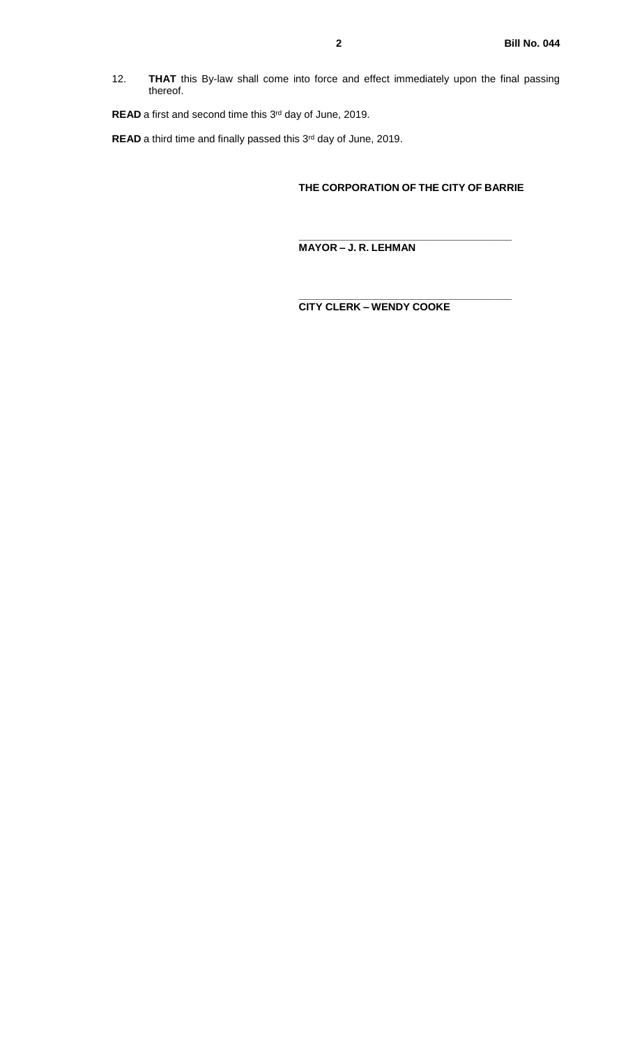12. **THAT** this By-law shall come into force and effect immediately upon the final passing thereof.

**READ** a first and second time this 3<sup>rd</sup> day of June, 2019.

**READ** a third time and finally passed this 3<sup>rd</sup> day of June, 2019.

## **THE CORPORATION OF THE CITY OF BARRIE**

**\_\_\_\_\_\_\_\_\_\_\_\_\_\_\_\_\_\_\_\_\_\_\_\_\_\_\_\_\_\_\_\_\_\_\_\_\_**

**\_\_\_\_\_\_\_\_\_\_\_\_\_\_\_\_\_\_\_\_\_\_\_\_\_\_\_\_\_\_\_\_\_\_\_\_\_**

**MAYOR – J. R. LEHMAN**

**CITY CLERK – WENDY COOKE**